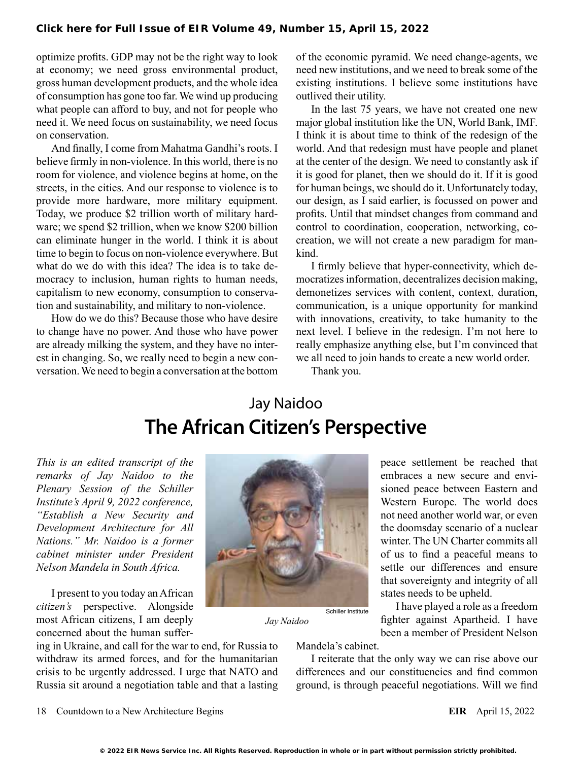optimize profits. GDP may not be the right way to look at economy; we need gross environmental product, gross human development products, and the whole idea of consumption has gone too far. We wind up producing what people can afford to buy, and not for people who need it. We need focus on sustainability, we need focus on conservation.

And finally, I come from Mahatma Gandhi's roots. I believe firmly in non-violence. In this world, there is no room for violence, and violence begins at home, on the streets, in the cities. And our response to violence is to provide more hardware, more military equipment. Today, we produce \$2 trillion worth of military hardware; we spend \$2 trillion, when we know \$200 billion can eliminate hunger in the world. I think it is about time to begin to focus on non-violence everywhere. But what do we do with this idea? The idea is to take democracy to inclusion, human rights to human needs, capitalism to new economy, consumption to conservation and sustainability, and military to non-violence.

How do we do this? Because those who have desire to change have no power. And those who have power are already milking the system, and they have no interest in changing. So, we really need to begin a new conversation. We need to begin a conversation at the bottom of the economic pyramid. We need change-agents, we need new institutions, and we need to break some of the existing institutions. I believe some institutions have outlived their utility.

In the last 75 years, we have not created one new major global institution like the UN, World Bank, IMF. I think it is about time to think of the redesign of the world. And that redesign must have people and planet at the center of the design. We need to constantly ask if it is good for planet, then we should do it. If it is good for human beings, we should do it. Unfortunately today, our design, as I said earlier, is focussed on power and profits. Until that mindset changes from command and control to coordination, cooperation, networking, cocreation, we will not create a new paradigm for mankind.

I firmly believe that hyper-connectivity, which democratizes information, decentralizes decision making, demonetizes services with content, context, duration, communication, is a unique opportunity for mankind with innovations, creativity, to take humanity to the next level. I believe in the redesign. I'm not here to really emphasize anything else, but I'm convinced that we all need to join hands to create a new world order.

Thank you.

## Jay Naidoo **The African Citizen's Perspective**

*This is an edited transcript of the remarks of Jay Naidoo to the Plenary Session of the Schiller Institute's April 9, 2022 conference, "Establish a New Security and Development Architecture for All Nations." Mr. Naidoo is a former cabinet minister under President Nelson Mandela in South Africa.*

I present to you today an African *citizen's* perspective. Alongside most African citizens, I am deeply concerned about the human suffer-

ing in Ukraine, and call for the war to end, for Russia to withdraw its armed forces, and for the humanitarian crisis to be urgently addressed. I urge that NATO and Russia sit around a negotiation table and that a lasting



peace settlement be reached that embraces a new secure and envisioned peace between Eastern and Western Europe. The world does not need another world war, or even the doomsday scenario of a nuclear winter. The UN Charter commits all of us to find a peaceful means to settle our differences and ensure that sovereignty and integrity of all states needs to be upheld.

I have played a role as a freedom fighter against Apartheid. I have been a member of President Nelson

*Jay Naidoo*

Mandela's cabinet.

Schiller Institute

I reiterate that the only way we can rise above our differences and our constituencies and find common ground, is through peaceful negotiations. Will we find